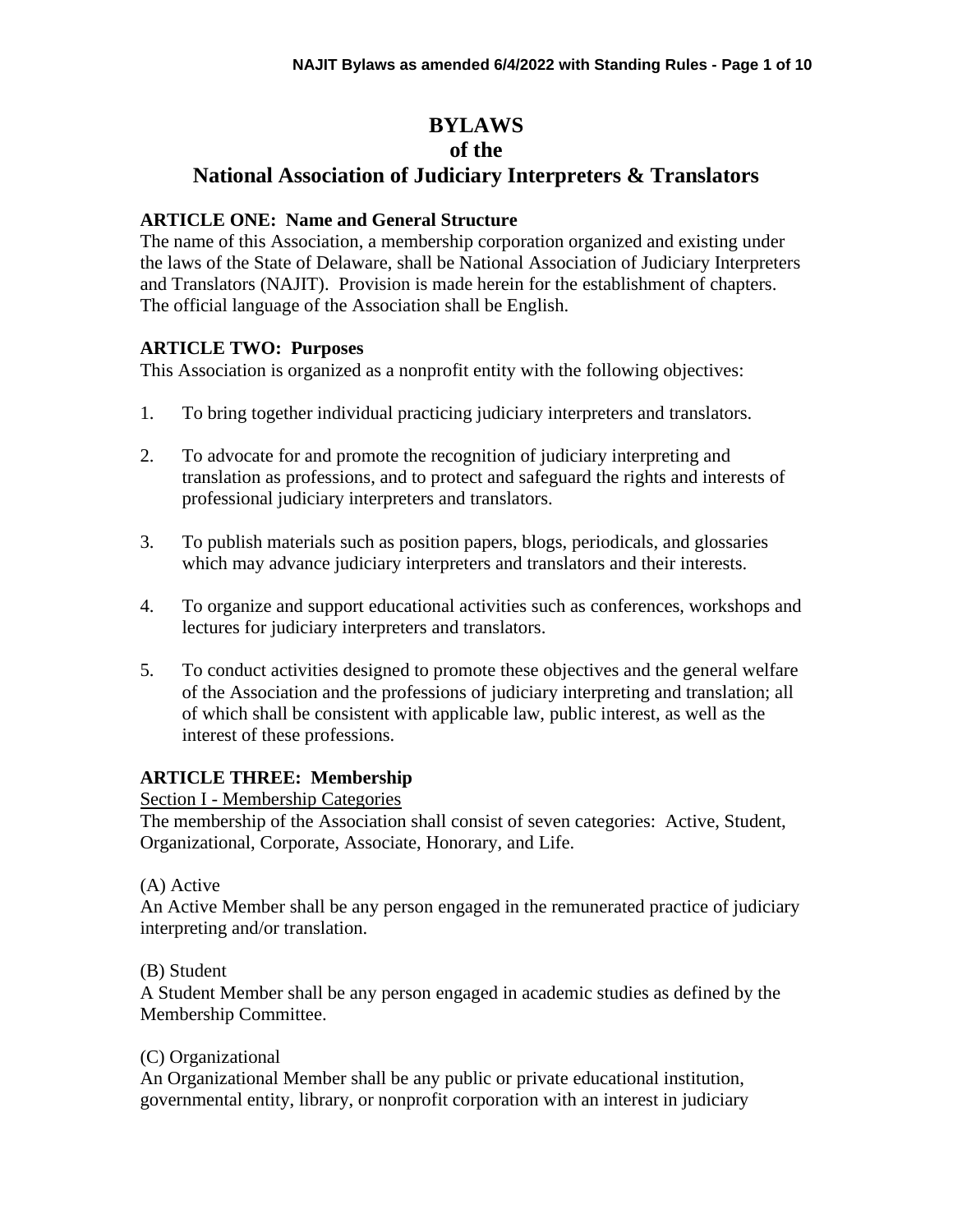# **BYLAWS**

# **of the**

# **National Association of Judiciary Interpreters & Translators**

#### **ARTICLE ONE: Name and General Structure**

The name of this Association, a membership corporation organized and existing under the laws of the State of Delaware, shall be National Association of Judiciary Interpreters and Translators (NAJIT). Provision is made herein for the establishment of chapters. The official language of the Association shall be English.

#### **ARTICLE TWO: Purposes**

This Association is organized as a nonprofit entity with the following objectives:

- 1. To bring together individual practicing judiciary interpreters and translators.
- 2. To advocate for and promote the recognition of judiciary interpreting and translation as professions, and to protect and safeguard the rights and interests of professional judiciary interpreters and translators.
- 3. To publish materials such as position papers, blogs, periodicals, and glossaries which may advance judiciary interpreters and translators and their interests.
- 4. To organize and support educational activities such as conferences, workshops and lectures for judiciary interpreters and translators.
- 5. To conduct activities designed to promote these objectives and the general welfare of the Association and the professions of judiciary interpreting and translation; all of which shall be consistent with applicable law, public interest, as well as the interest of these professions.

# **ARTICLE THREE: Membership**

Section I - Membership Categories

The membership of the Association shall consist of seven categories: Active, Student, Organizational, Corporate, Associate, Honorary, and Life.

#### (A) Active

An Active Member shall be any person engaged in the remunerated practice of judiciary interpreting and/or translation.

#### (B) Student

A Student Member shall be any person engaged in academic studies as defined by the Membership Committee.

#### (C) Organizational

An Organizational Member shall be any public or private educational institution, governmental entity, library, or nonprofit corporation with an interest in judiciary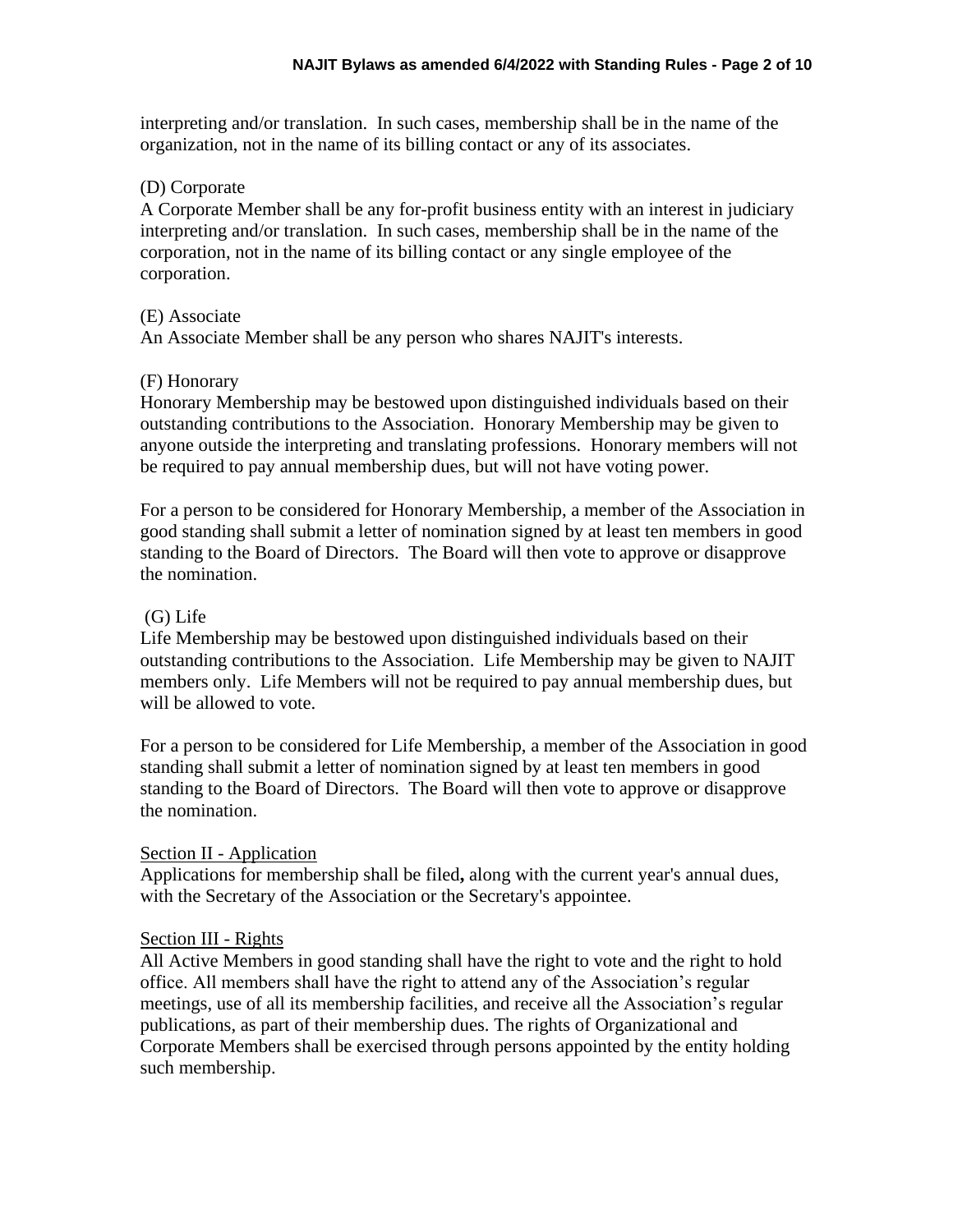interpreting and/or translation. In such cases, membership shall be in the name of the organization, not in the name of its billing contact or any of its associates.

#### (D) Corporate

A Corporate Member shall be any for-profit business entity with an interest in judiciary interpreting and/or translation. In such cases, membership shall be in the name of the corporation, not in the name of its billing contact or any single employee of the corporation.

#### (E) Associate

An Associate Member shall be any person who shares NAJIT's interests.

#### (F) Honorary

Honorary Membership may be bestowed upon distinguished individuals based on their outstanding contributions to the Association. Honorary Membership may be given to anyone outside the interpreting and translating professions. Honorary members will not be required to pay annual membership dues, but will not have voting power.

For a person to be considered for Honorary Membership, a member of the Association in good standing shall submit a letter of nomination signed by at least ten members in good standing to the Board of Directors. The Board will then vote to approve or disapprove the nomination.

#### (G) Life

Life Membership may be bestowed upon distinguished individuals based on their outstanding contributions to the Association. Life Membership may be given to NAJIT members only. Life Members will not be required to pay annual membership dues, but will be allowed to vote.

For a person to be considered for Life Membership, a member of the Association in good standing shall submit a letter of nomination signed by at least ten members in good standing to the Board of Directors. The Board will then vote to approve or disapprove the nomination.

#### Section II - Application

Applications for membership shall be filed**,** along with the current year's annual dues, with the Secretary of the Association or the Secretary's appointee.

#### Section III - Rights

All Active Members in good standing shall have the right to vote and the right to hold office. All members shall have the right to attend any of the Association's regular meetings, use of all its membership facilities, and receive all the Association's regular publications, as part of their membership dues. The rights of Organizational and Corporate Members shall be exercised through persons appointed by the entity holding such membership.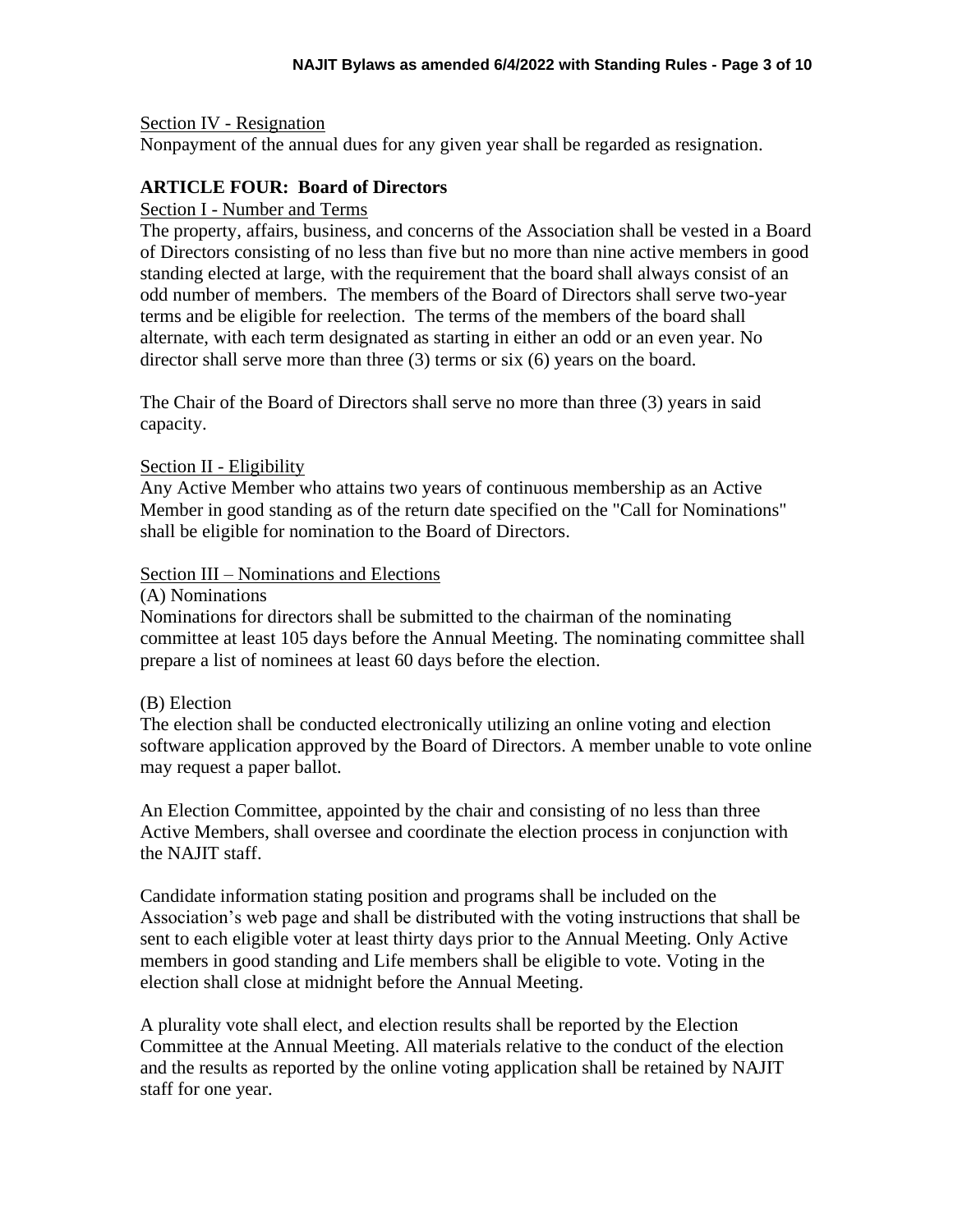#### Section IV - Resignation

Nonpayment of the annual dues for any given year shall be regarded as resignation.

#### **ARTICLE FOUR: Board of Directors**

#### Section I - Number and Terms

The property, affairs, business, and concerns of the Association shall be vested in a Board of Directors consisting of no less than five but no more than nine active members in good standing elected at large, with the requirement that the board shall always consist of an odd number of members. The members of the Board of Directors shall serve two-year terms and be eligible for reelection. The terms of the members of the board shall alternate, with each term designated as starting in either an odd or an even year. No director shall serve more than three (3) terms or six (6) years on the board.

The Chair of the Board of Directors shall serve no more than three (3) years in said capacity.

#### Section II - Eligibility

Any Active Member who attains two years of continuous membership as an Active Member in good standing as of the return date specified on the "Call for Nominations" shall be eligible for nomination to the Board of Directors.

#### Section III – Nominations and Elections

#### (A) Nominations

Nominations for directors shall be submitted to the chairman of the nominating committee at least 105 days before the Annual Meeting. The nominating committee shall prepare a list of nominees at least 60 days before the election.

#### (B) Election

The election shall be conducted electronically utilizing an online voting and election software application approved by the Board of Directors. A member unable to vote online may request a paper ballot.

An Election Committee, appointed by the chair and consisting of no less than three Active Members, shall oversee and coordinate the election process in conjunction with the NAJIT staff.

Candidate information stating position and programs shall be included on the Association's web page and shall be distributed with the voting instructions that shall be sent to each eligible voter at least thirty days prior to the Annual Meeting. Only Active members in good standing and Life members shall be eligible to vote. Voting in the election shall close at midnight before the Annual Meeting.

A plurality vote shall elect, and election results shall be reported by the Election Committee at the Annual Meeting. All materials relative to the conduct of the election and the results as reported by the online voting application shall be retained by NAJIT staff for one year.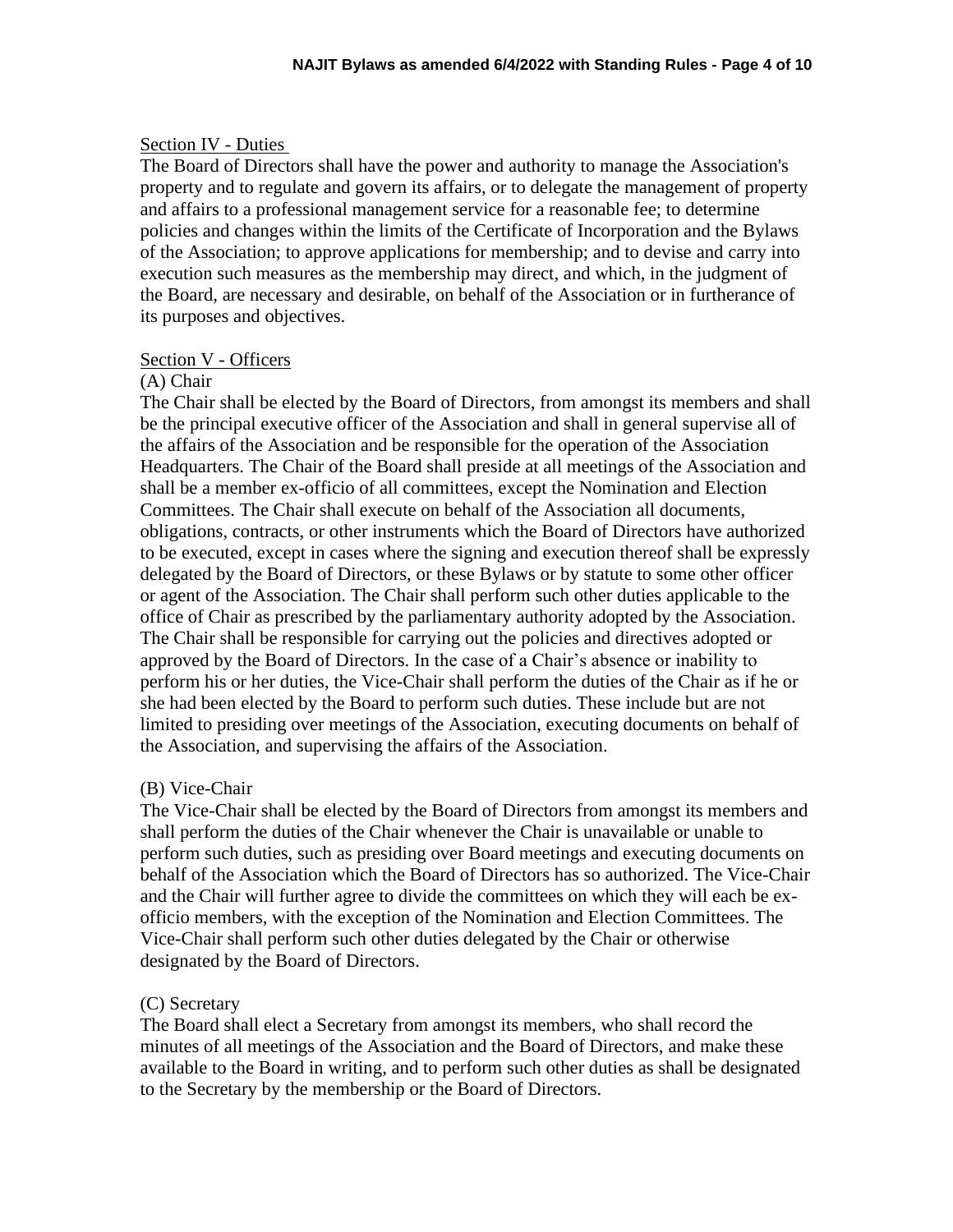#### Section IV - Duties

The Board of Directors shall have the power and authority to manage the Association's property and to regulate and govern its affairs, or to delegate the management of property and affairs to a professional management service for a reasonable fee; to determine policies and changes within the limits of the Certificate of Incorporation and the Bylaws of the Association; to approve applications for membership; and to devise and carry into execution such measures as the membership may direct, and which, in the judgment of the Board, are necessary and desirable, on behalf of the Association or in furtherance of its purposes and objectives.

#### Section V - Officers

#### (A) Chair

The Chair shall be elected by the Board of Directors, from amongst its members and shall be the principal executive officer of the Association and shall in general supervise all of the affairs of the Association and be responsible for the operation of the Association Headquarters. The Chair of the Board shall preside at all meetings of the Association and shall be a member ex-officio of all committees, except the Nomination and Election Committees. The Chair shall execute on behalf of the Association all documents, obligations, contracts, or other instruments which the Board of Directors have authorized to be executed, except in cases where the signing and execution thereof shall be expressly delegated by the Board of Directors, or these Bylaws or by statute to some other officer or agent of the Association. The Chair shall perform such other duties applicable to the office of Chair as prescribed by the parliamentary authority adopted by the Association. The Chair shall be responsible for carrying out the policies and directives adopted or approved by the Board of Directors. In the case of a Chair's absence or inability to perform his or her duties, the Vice-Chair shall perform the duties of the Chair as if he or she had been elected by the Board to perform such duties. These include but are not limited to presiding over meetings of the Association, executing documents on behalf of the Association, and supervising the affairs of the Association.

#### (B) Vice-Chair

The Vice-Chair shall be elected by the Board of Directors from amongst its members and shall perform the duties of the Chair whenever the Chair is unavailable or unable to perform such duties, such as presiding over Board meetings and executing documents on behalf of the Association which the Board of Directors has so authorized. The Vice-Chair and the Chair will further agree to divide the committees on which they will each be exofficio members, with the exception of the Nomination and Election Committees. The Vice-Chair shall perform such other duties delegated by the Chair or otherwise designated by the Board of Directors.

#### (C) Secretary

The Board shall elect a Secretary from amongst its members, who shall record the minutes of all meetings of the Association and the Board of Directors, and make these available to the Board in writing, and to perform such other duties as shall be designated to the Secretary by the membership or the Board of Directors.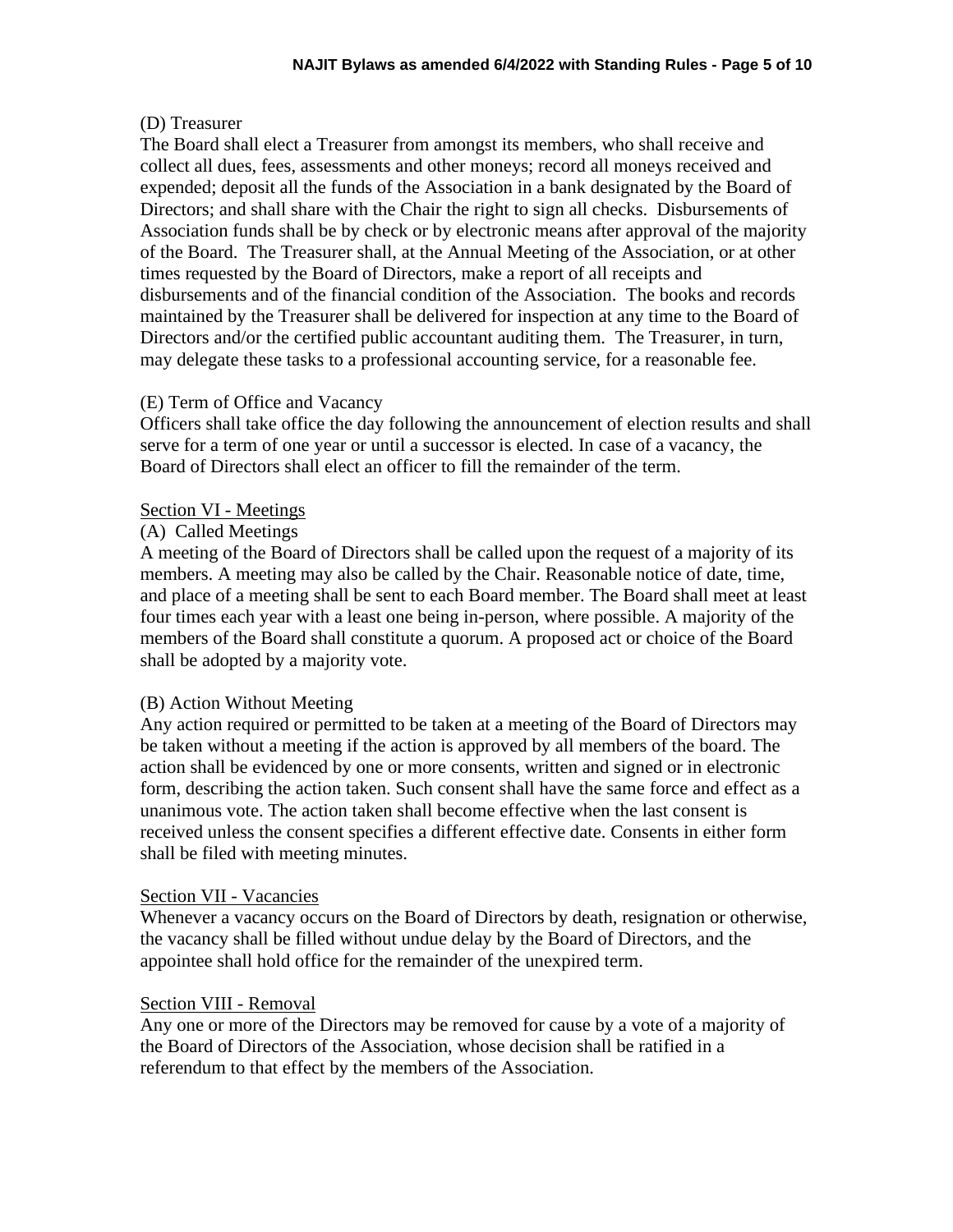#### (D) Treasurer

The Board shall elect a Treasurer from amongst its members, who shall receive and collect all dues, fees, assessments and other moneys; record all moneys received and expended; deposit all the funds of the Association in a bank designated by the Board of Directors; and shall share with the Chair the right to sign all checks. Disbursements of Association funds shall be by check or by electronic means after approval of the majority of the Board. The Treasurer shall, at the Annual Meeting of the Association, or at other times requested by the Board of Directors, make a report of all receipts and disbursements and of the financial condition of the Association. The books and records maintained by the Treasurer shall be delivered for inspection at any time to the Board of Directors and/or the certified public accountant auditing them. The Treasurer, in turn, may delegate these tasks to a professional accounting service, for a reasonable fee.

#### (E) Term of Office and Vacancy

Officers shall take office the day following the announcement of election results and shall serve for a term of one year or until a successor is elected. In case of a vacancy, the Board of Directors shall elect an officer to fill the remainder of the term.

#### Section VI - Meetings

#### (A) Called Meetings

A meeting of the Board of Directors shall be called upon the request of a majority of its members. A meeting may also be called by the Chair. Reasonable notice of date, time, and place of a meeting shall be sent to each Board member. The Board shall meet at least four times each year with a least one being in-person, where possible. A majority of the members of the Board shall constitute a quorum. A proposed act or choice of the Board shall be adopted by a majority vote.

#### (B) Action Without Meeting

Any action required or permitted to be taken at a meeting of the Board of Directors may be taken without a meeting if the action is approved by all members of the board. The action shall be evidenced by one or more consents, written and signed or in electronic form, describing the action taken. Such consent shall have the same force and effect as a unanimous vote. The action taken shall become effective when the last consent is received unless the consent specifies a different effective date. Consents in either form shall be filed with meeting minutes.

#### Section VII - Vacancies

Whenever a vacancy occurs on the Board of Directors by death, resignation or otherwise, the vacancy shall be filled without undue delay by the Board of Directors, and the appointee shall hold office for the remainder of the unexpired term.

#### Section VIII - Removal

Any one or more of the Directors may be removed for cause by a vote of a majority of the Board of Directors of the Association, whose decision shall be ratified in a referendum to that effect by the members of the Association.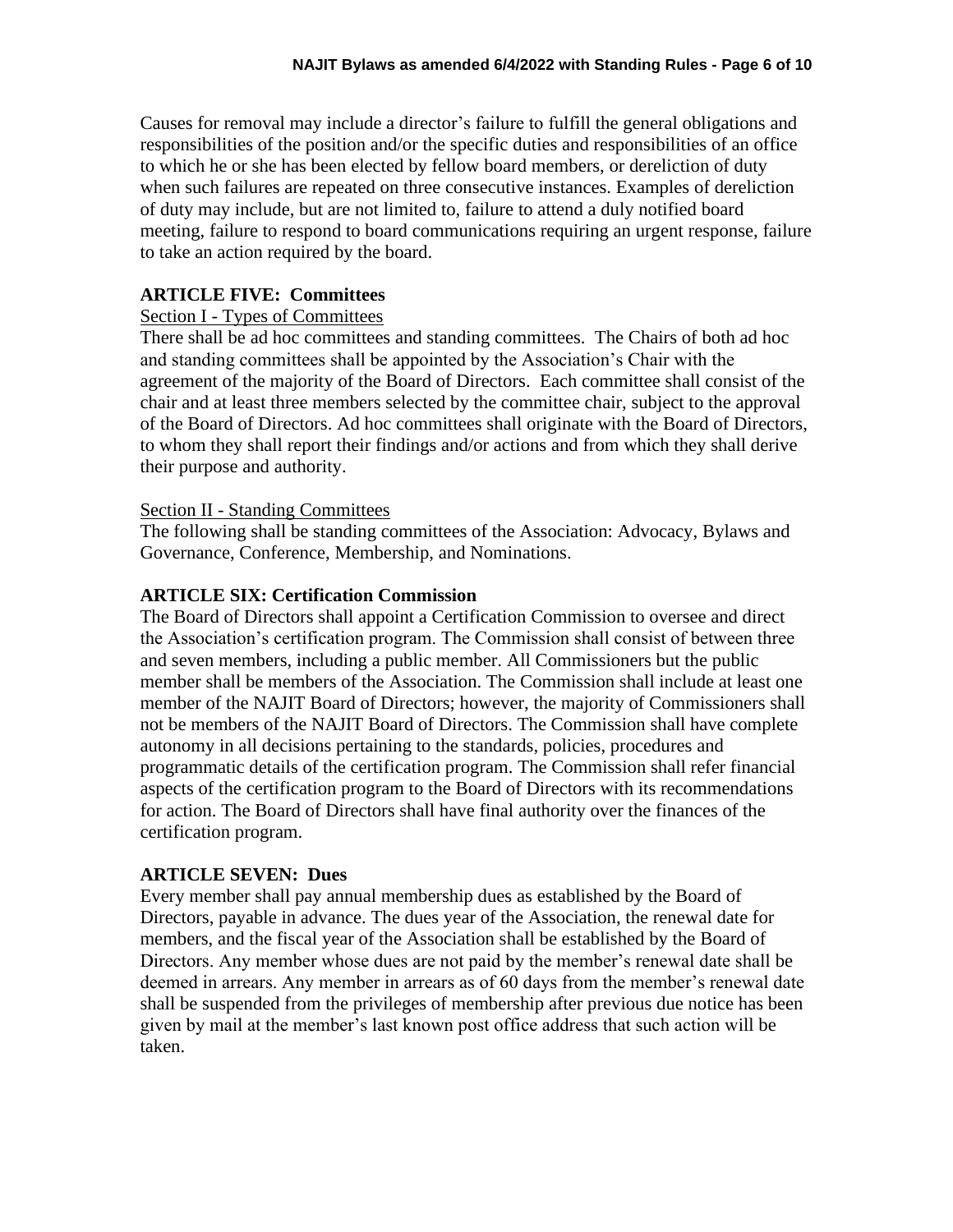Causes for removal may include a director's failure to fulfill the general obligations and responsibilities of the position and/or the specific duties and responsibilities of an office to which he or she has been elected by fellow board members, or dereliction of duty when such failures are repeated on three consecutive instances. Examples of dereliction of duty may include, but are not limited to, failure to attend a duly notified board meeting, failure to respond to board communications requiring an urgent response, failure to take an action required by the board.

### **ARTICLE FIVE: Committees**

#### Section I - Types of Committees

There shall be ad hoc committees and standing committees. The Chairs of both ad hoc and standing committees shall be appointed by the Association's Chair with the agreement of the majority of the Board of Directors. Each committee shall consist of the chair and at least three members selected by the committee chair, subject to the approval of the Board of Directors. Ad hoc committees shall originate with the Board of Directors, to whom they shall report their findings and/or actions and from which they shall derive their purpose and authority.

#### Section II - Standing Committees

The following shall be standing committees of the Association: Advocacy, Bylaws and Governance, Conference, Membership, and Nominations.

#### **ARTICLE SIX: Certification Commission**

The Board of Directors shall appoint a Certification Commission to oversee and direct the Association's certification program. The Commission shall consist of between three and seven members, including a public member. All Commissioners but the public member shall be members of the Association. The Commission shall include at least one member of the NAJIT Board of Directors; however, the majority of Commissioners shall not be members of the NAJIT Board of Directors. The Commission shall have complete autonomy in all decisions pertaining to the standards, policies, procedures and programmatic details of the certification program. The Commission shall refer financial aspects of the certification program to the Board of Directors with its recommendations for action. The Board of Directors shall have final authority over the finances of the certification program.

#### **ARTICLE SEVEN: Dues**

Every member shall pay annual membership dues as established by the Board of Directors, payable in advance. The dues year of the Association, the renewal date for members, and the fiscal year of the Association shall be established by the Board of Directors. Any member whose dues are not paid by the member's renewal date shall be deemed in arrears. Any member in arrears as of 60 days from the member's renewal date shall be suspended from the privileges of membership after previous due notice has been given by mail at the member's last known post office address that such action will be taken.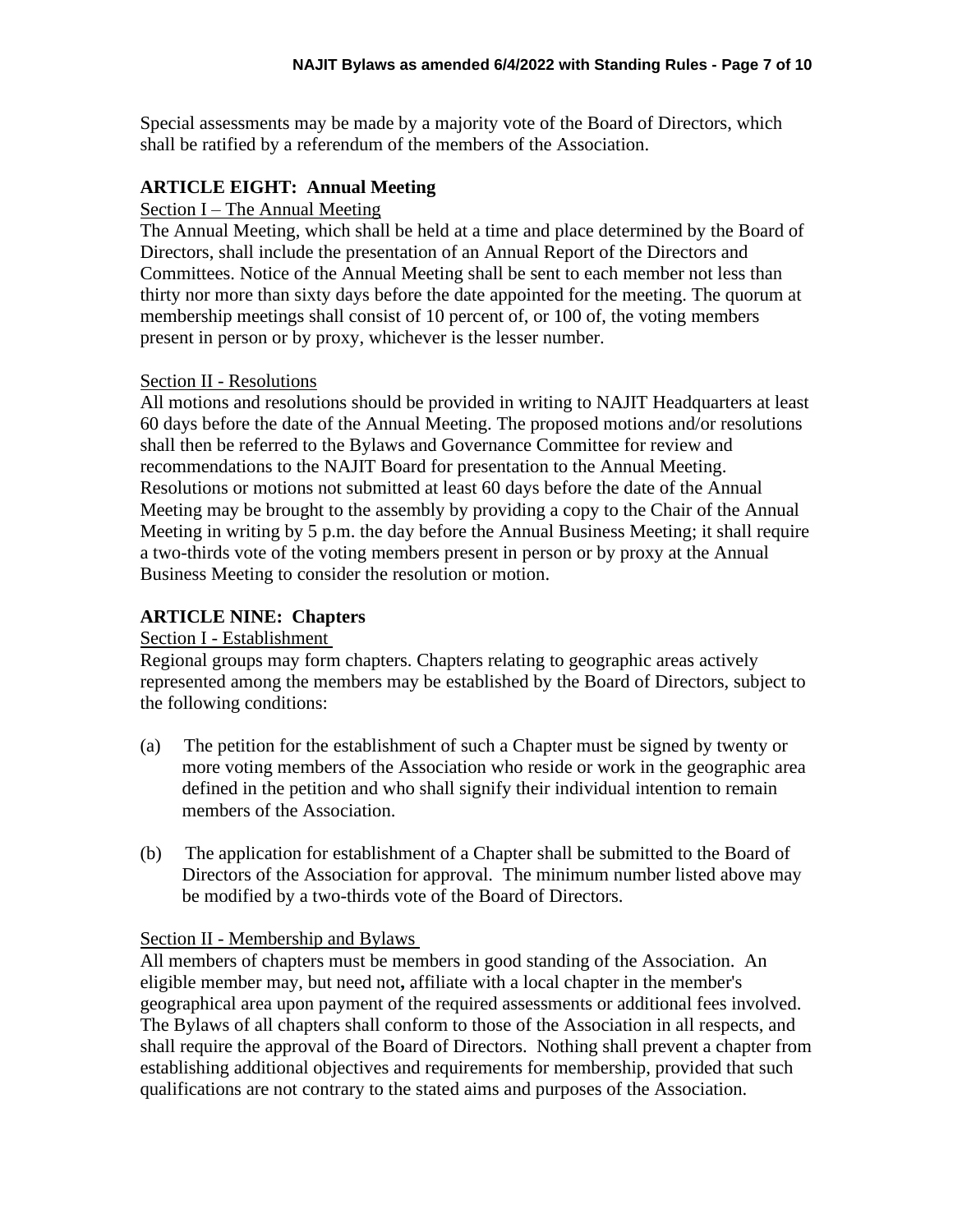Special assessments may be made by a majority vote of the Board of Directors, which shall be ratified by a referendum of the members of the Association.

#### **ARTICLE EIGHT: Annual Meeting**

#### Section I – The Annual Meeting

The Annual Meeting, which shall be held at a time and place determined by the Board of Directors, shall include the presentation of an Annual Report of the Directors and Committees. Notice of the Annual Meeting shall be sent to each member not less than thirty nor more than sixty days before the date appointed for the meeting. The quorum at membership meetings shall consist of 10 percent of, or 100 of, the voting members present in person or by proxy, whichever is the lesser number.

#### Section II - Resolutions

All motions and resolutions should be provided in writing to NAJIT Headquarters at least 60 days before the date of the Annual Meeting. The proposed motions and/or resolutions shall then be referred to the Bylaws and Governance Committee for review and recommendations to the NAJIT Board for presentation to the Annual Meeting. Resolutions or motions not submitted at least 60 days before the date of the Annual Meeting may be brought to the assembly by providing a copy to the Chair of the Annual Meeting in writing by 5 p.m. the day before the Annual Business Meeting; it shall require a two-thirds vote of the voting members present in person or by proxy at the Annual Business Meeting to consider the resolution or motion.

#### **ARTICLE NINE: Chapters**

#### Section I - Establishment

Regional groups may form chapters. Chapters relating to geographic areas actively represented among the members may be established by the Board of Directors, subject to the following conditions:

- (a) The petition for the establishment of such a Chapter must be signed by twenty or more voting members of the Association who reside or work in the geographic area defined in the petition and who shall signify their individual intention to remain members of the Association.
- (b) The application for establishment of a Chapter shall be submitted to the Board of Directors of the Association for approval. The minimum number listed above may be modified by a two-thirds vote of the Board of Directors.

#### Section II - Membership and Bylaws

All members of chapters must be members in good standing of the Association. An eligible member may, but need not**,** affiliate with a local chapter in the member's geographical area upon payment of the required assessments or additional fees involved. The Bylaws of all chapters shall conform to those of the Association in all respects, and shall require the approval of the Board of Directors. Nothing shall prevent a chapter from establishing additional objectives and requirements for membership, provided that such qualifications are not contrary to the stated aims and purposes of the Association.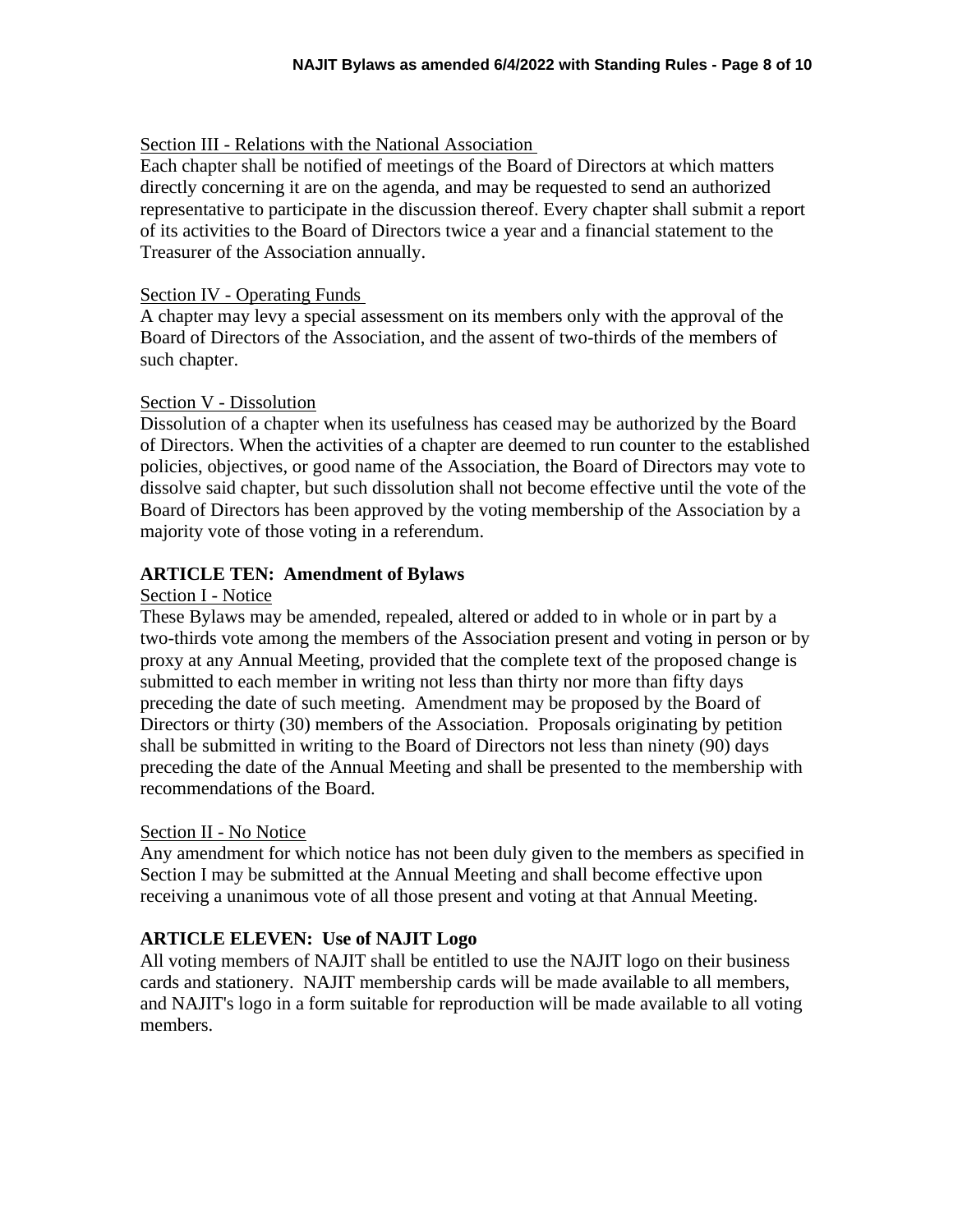#### Section III - Relations with the National Association

Each chapter shall be notified of meetings of the Board of Directors at which matters directly concerning it are on the agenda, and may be requested to send an authorized representative to participate in the discussion thereof. Every chapter shall submit a report of its activities to the Board of Directors twice a year and a financial statement to the Treasurer of the Association annually.

#### Section IV - Operating Funds

A chapter may levy a special assessment on its members only with the approval of the Board of Directors of the Association, and the assent of two-thirds of the members of such chapter.

#### Section V - Dissolution

Dissolution of a chapter when its usefulness has ceased may be authorized by the Board of Directors. When the activities of a chapter are deemed to run counter to the established policies, objectives, or good name of the Association, the Board of Directors may vote to dissolve said chapter, but such dissolution shall not become effective until the vote of the Board of Directors has been approved by the voting membership of the Association by a majority vote of those voting in a referendum.

# **ARTICLE TEN: Amendment of Bylaws**

#### Section I - Notice

These Bylaws may be amended, repealed, altered or added to in whole or in part by a two-thirds vote among the members of the Association present and voting in person or by proxy at any Annual Meeting, provided that the complete text of the proposed change is submitted to each member in writing not less than thirty nor more than fifty days preceding the date of such meeting. Amendment may be proposed by the Board of Directors or thirty (30) members of the Association. Proposals originating by petition shall be submitted in writing to the Board of Directors not less than ninety (90) days preceding the date of the Annual Meeting and shall be presented to the membership with recommendations of the Board.

#### Section II - No Notice

Any amendment for which notice has not been duly given to the members as specified in Section I may be submitted at the Annual Meeting and shall become effective upon receiving a unanimous vote of all those present and voting at that Annual Meeting.

# **ARTICLE ELEVEN: Use of NAJIT Logo**

All voting members of NAJIT shall be entitled to use the NAJIT logo on their business cards and stationery. NAJIT membership cards will be made available to all members, and NAJIT's logo in a form suitable for reproduction will be made available to all voting members.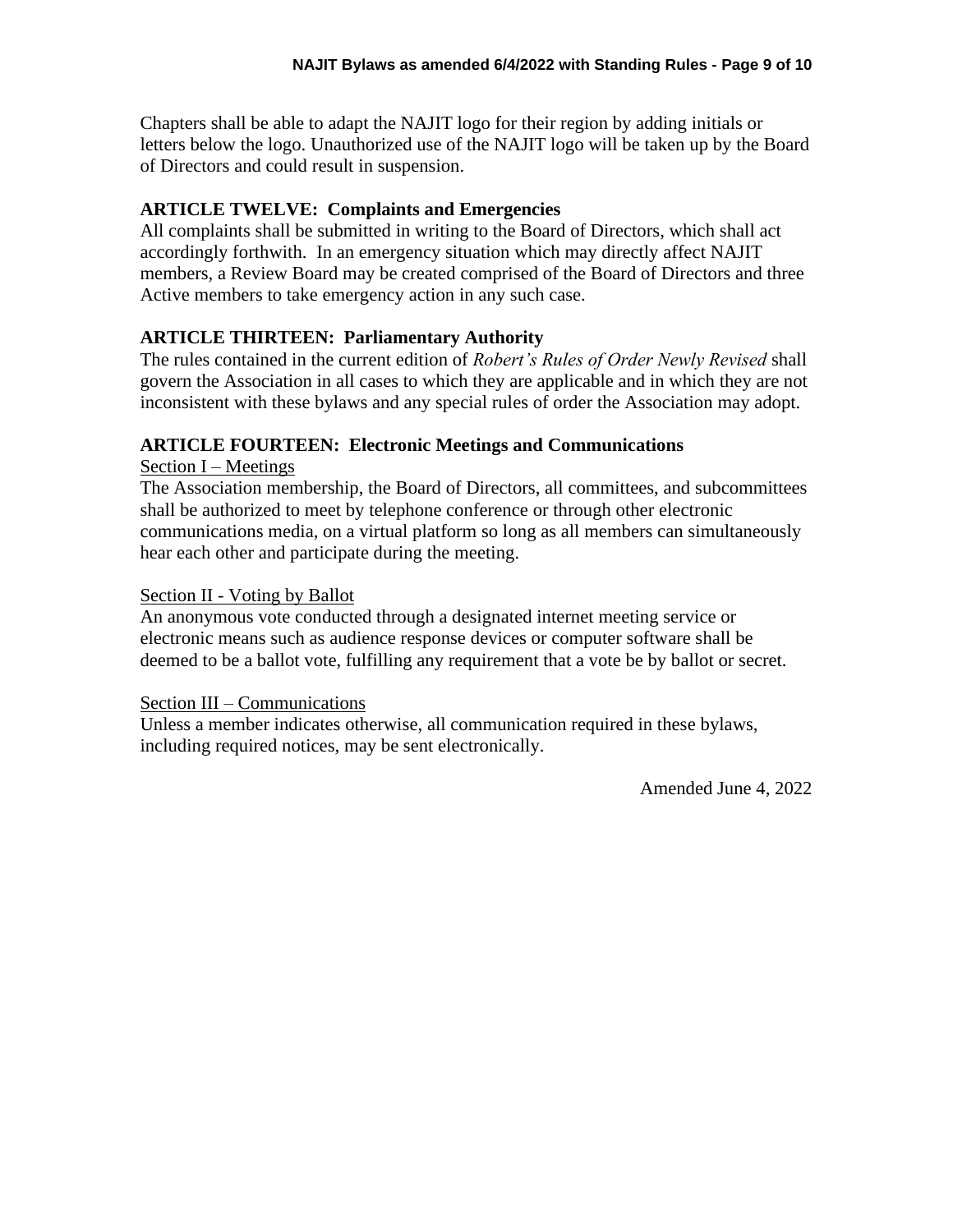Chapters shall be able to adapt the NAJIT logo for their region by adding initials or letters below the logo. Unauthorized use of the NAJIT logo will be taken up by the Board of Directors and could result in suspension.

# **ARTICLE TWELVE: Complaints and Emergencies**

All complaints shall be submitted in writing to the Board of Directors, which shall act accordingly forthwith. In an emergency situation which may directly affect NAJIT members, a Review Board may be created comprised of the Board of Directors and three Active members to take emergency action in any such case.

# **ARTICLE THIRTEEN: Parliamentary Authority**

The rules contained in the current edition of *Robert's Rules of Order Newly Revised* shall govern the Association in all cases to which they are applicable and in which they are not inconsistent with these bylaws and any special rules of order the Association may adopt.

# **ARTICLE FOURTEEN: Electronic Meetings and Communications**

Section I – Meetings

The Association membership, the Board of Directors, all committees, and subcommittees shall be authorized to meet by telephone conference or through other electronic communications media, on a virtual platform so long as all members can simultaneously hear each other and participate during the meeting.

#### Section II - Voting by Ballot

An anonymous vote conducted through a designated internet meeting service or electronic means such as audience response devices or computer software shall be deemed to be a ballot vote, fulfilling any requirement that a vote be by ballot or secret.

# Section III – Communications

Unless a member indicates otherwise, all communication required in these bylaws, including required notices, may be sent electronically.

Amended June 4, 2022